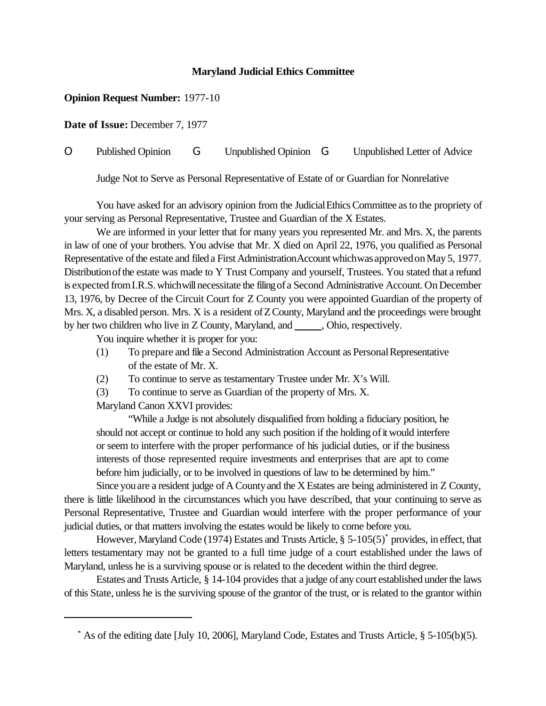## **Maryland Judicial Ethics Committee**

## **Opinion Request Number:** 1977-10

**Date of Issue:** December 7, 1977

O Published Opinion G Unpublished Opinion G Unpublished Letter of Advice

Judge Not to Serve as Personal Representative of Estate of or Guardian for Nonrelative

You have asked for an advisory opinion from the Judicial Ethics Committee as to the propriety of your serving as Personal Representative, Trustee and Guardian of the X Estates.

We are informed in your letter that for many years you represented Mr. and Mrs. X, the parents in law of one of your brothers. You advise that Mr. X died on April 22, 1976, you qualified as Personal Representative of the estate and filed a First Administration Account which was approved on May 5, 1977. Distribution of the estate was made to Y Trust Company and yourself, Trustees. You stated that a refund is expected from I.R.S. which will necessitate the filing of a Second Administrative Account. On December 13, 1976, by Decree of the Circuit Court for Z County you were appointed Guardian of the property of Mrs. X, a disabled person. Mrs. X is a resident of Z County, Maryland and the proceedings were brought by her two children who live in  $Z$  County, Maryland, and  $\_\_\_\_$ , Ohio, respectively.

You inquire whether it is proper for you:

- (1) To prepare and file a Second Administration Account as PersonalRepresentative of the estate of Mr. X.
- (2) To continue to serve as testamentary Trustee under Mr. X's Will.

(3) To continue to serve as Guardian of the property of Mrs. X.

Maryland Canon XXVI provides:

"While a Judge is not absolutely disqualified from holding a fiduciary position, he should not accept or continue to hold any such position if the holding of it would interfere or seem to interfere with the proper performance of his judicial duties, or if the business interests of those represented require investments and enterprises that are apt to come before him judicially, or to be involved in questions of law to be determined by him."

Since you are a resident judge of A County and the X Estates are being administered in Z County, there is little likelihood in the circumstances which you have described, that your continuing to serve as Personal Representative, Trustee and Guardian would interfere with the proper performance of your judicial duties, or that matters involving the estates would be likely to come before you.

However, Maryland Code (1974) Estates and Trusts Article, § 5-105(5)<sup>\*</sup> provides, in effect, that letters testamentary may not be granted to a full time judge of a court established under the laws of Maryland, unless he is a surviving spouse or is related to the decedent within the third degree.

Estates and Trusts Article, § 14-104 provides that a judge of any court established under the laws of this State, unless he is the surviving spouse of the grantor of the trust, or is related to the grantor within

<sup>\*</sup> As of the editing date [July 10, 2006], Maryland Code, Estates and Trusts Article, § 5-105(b)(5).